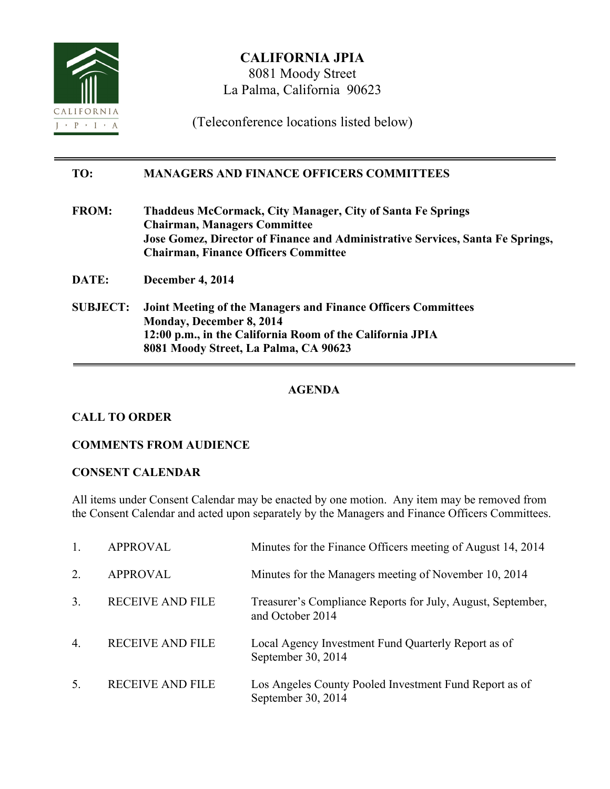

**CALIFORNIA JPIA** 8081 Moody Street La Palma, California 90623

(Teleconference locations listed below)

### **TO: MANAGERS AND FINANCE OFFICERS COMMITTEES**

- **FROM: Thaddeus McCormack, City Manager, City of Santa Fe Springs Chairman, Managers Committee Jose Gomez, Director of Finance and Administrative Services, Santa Fe Springs, Chairman, Finance Officers Committee**
- **DATE: December 4, 2014**
- **SUBJECT: Joint Meeting of the Managers and Finance Officers Committees Monday, December 8, 2014 12:00 p.m., in the California Room of the California JPIA 8081 Moody Street, La Palma, CA 90623**

# **AGENDA**

# **CALL TO ORDER**

### **COMMENTS FROM AUDIENCE**

### **CONSENT CALENDAR**

All items under Consent Calendar may be enacted by one motion. Any item may be removed from the Consent Calendar and acted upon separately by the Managers and Finance Officers Committees.

|                  | <b>APPROVAL</b>         | Minutes for the Finance Officers meeting of August 14, 2014                     |
|------------------|-------------------------|---------------------------------------------------------------------------------|
| 2.               | <b>APPROVAL</b>         | Minutes for the Managers meeting of November 10, 2014                           |
| 3.               | <b>RECEIVE AND FILE</b> | Treasurer's Compliance Reports for July, August, September,<br>and October 2014 |
| $\overline{4}$ . | <b>RECEIVE AND FILE</b> | Local Agency Investment Fund Quarterly Report as of<br>September 30, 2014       |
| 5.               | <b>RECEIVE AND FILE</b> | Los Angeles County Pooled Investment Fund Report as of<br>September 30, 2014    |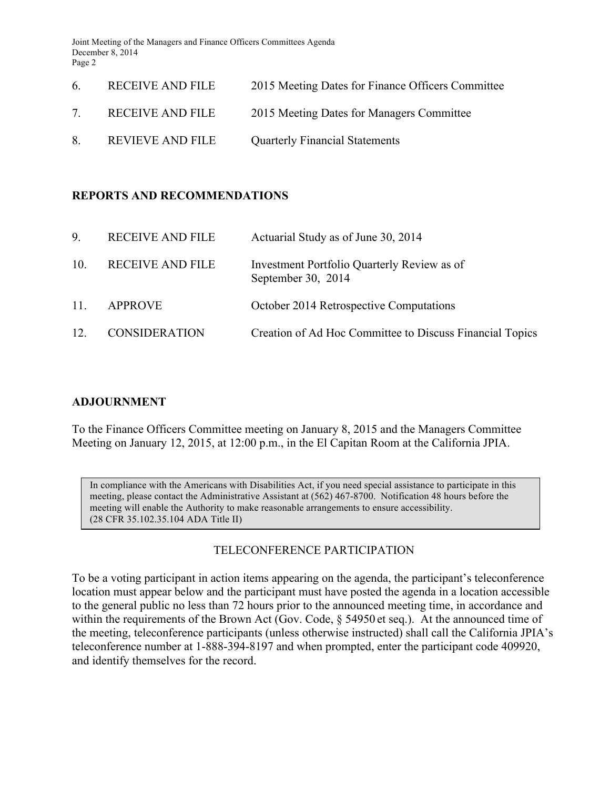Joint Meeting of the Managers and Finance Officers Committees Agenda December 8, 2014 Page 2

| 6           | RECEIVE AND FILE        | 2015 Meeting Dates for Finance Officers Committee |
|-------------|-------------------------|---------------------------------------------------|
| $7^{\circ}$ | <b>RECEIVE AND FILE</b> | 2015 Meeting Dates for Managers Committee         |
| 8           | REVIEVE AND FILE        | <b>Quarterly Financial Statements</b>             |

### **REPORTS AND RECOMMENDATIONS**

| 9.  | <b>RECEIVE AND FILE</b> | Actuarial Study as of June 30, 2014                               |
|-----|-------------------------|-------------------------------------------------------------------|
| 10. | <b>RECEIVE AND FILE</b> | Investment Portfolio Quarterly Review as of<br>September 30, 2014 |
| 11. | <b>APPROVE</b>          | October 2014 Retrospective Computations                           |
| 12. | <b>CONSIDERATION</b>    | Creation of Ad Hoc Committee to Discuss Financial Topics          |

### **ADJOURNMENT**

To the Finance Officers Committee meeting on January 8, 2015 and the Managers Committee Meeting on January 12, 2015, at 12:00 p.m., in the El Capitan Room at the California JPIA.

In compliance with the Americans with Disabilities Act, if you need special assistance to participate in this meeting, please contact the Administrative Assistant at (562) 467-8700. Notification 48 hours before the meeting will enable the Authority to make reasonable arrangements to ensure accessibility. (28 CFR 35.102.35.104 ADA Title II)

# TELECONFERENCE PARTICIPATION

To be a voting participant in action items appearing on the agenda, the participant's teleconference location must appear below and the participant must have posted the agenda in a location accessible to the general public no less than 72 hours prior to the announced meeting time, in accordance and within the requirements of the Brown Act (Gov. Code, § 54950 et seq.). At the announced time of the meeting, teleconference participants (unless otherwise instructed) shall call the California JPIA's teleconference number at 1-888-394-8197 and when prompted, enter the participant code 409920, and identify themselves for the record.